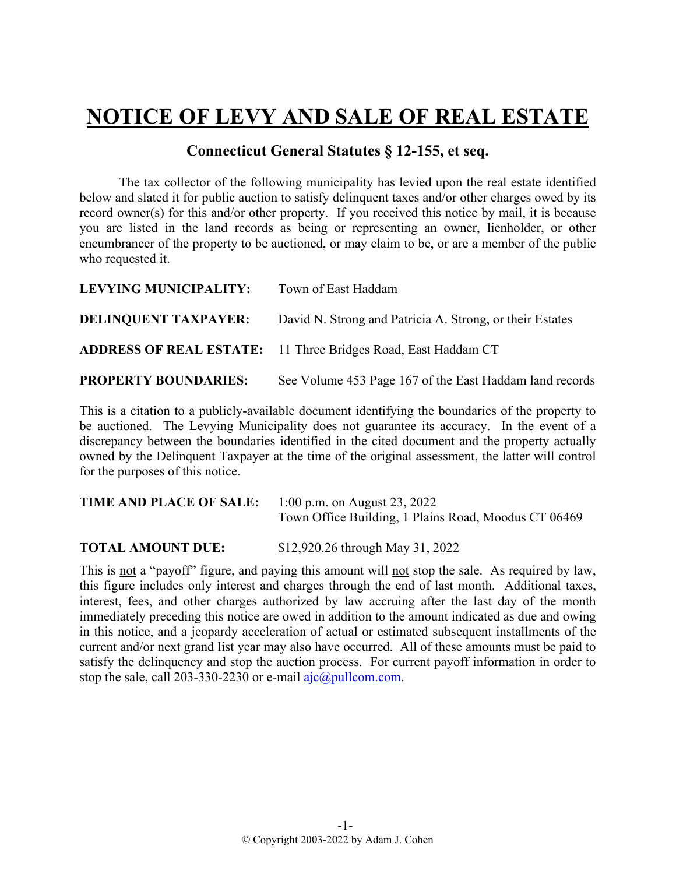## **NOTICE OF LEVY AND SALE OF REAL ESTATE**

## **Connecticut General Statutes § 12-155, et seq.**

The tax collector of the following municipality has levied upon the real estate identified below and slated it for public auction to satisfy delinquent taxes and/or other charges owed by its record owner(s) for this and/or other property. If you received this notice by mail, it is because you are listed in the land records as being or representing an owner, lienholder, or other encumbrancer of the property to be auctioned, or may claim to be, or are a member of the public who requested it.

| <b>LEVYING MUNICIPALITY:</b> | Town of East Haddam                                                  |  |
|------------------------------|----------------------------------------------------------------------|--|
| <b>DELINQUENT TAXPAYER:</b>  | David N. Strong and Patricia A. Strong, or their Estates             |  |
|                              | <b>ADDRESS OF REAL ESTATE:</b> 11 Three Bridges Road, East Haddam CT |  |
| <b>PROPERTY BOUNDARIES:</b>  | See Volume 453 Page 167 of the East Haddam land records              |  |

This is a citation to a publicly-available document identifying the boundaries of the property to be auctioned. The Levying Municipality does not guarantee its accuracy. In the event of a discrepancy between the boundaries identified in the cited document and the property actually owned by the Delinquent Taxpayer at the time of the original assessment, the latter will control for the purposes of this notice.

| <b>TIME AND PLACE OF SALE:</b> | 1:00 p.m. on August 23, 2022                         |
|--------------------------------|------------------------------------------------------|
|                                | Town Office Building, 1 Plains Road, Moodus CT 06469 |

**TOTAL AMOUNT DUE:** \$12,920.26 through May 31, 2022

This is not a "payoff" figure, and paying this amount will not stop the sale. As required by law, this figure includes only interest and charges through the end of last month. Additional taxes, interest, fees, and other charges authorized by law accruing after the last day of the month immediately preceding this notice are owed in addition to the amount indicated as due and owing in this notice, and a jeopardy acceleration of actual or estimated subsequent installments of the current and/or next grand list year may also have occurred. All of these amounts must be paid to satisfy the delinquency and stop the auction process. For current payoff information in order to stop the sale, call 203-330-2230 or e-mail  $a$ jc $@p$ ullcom.com.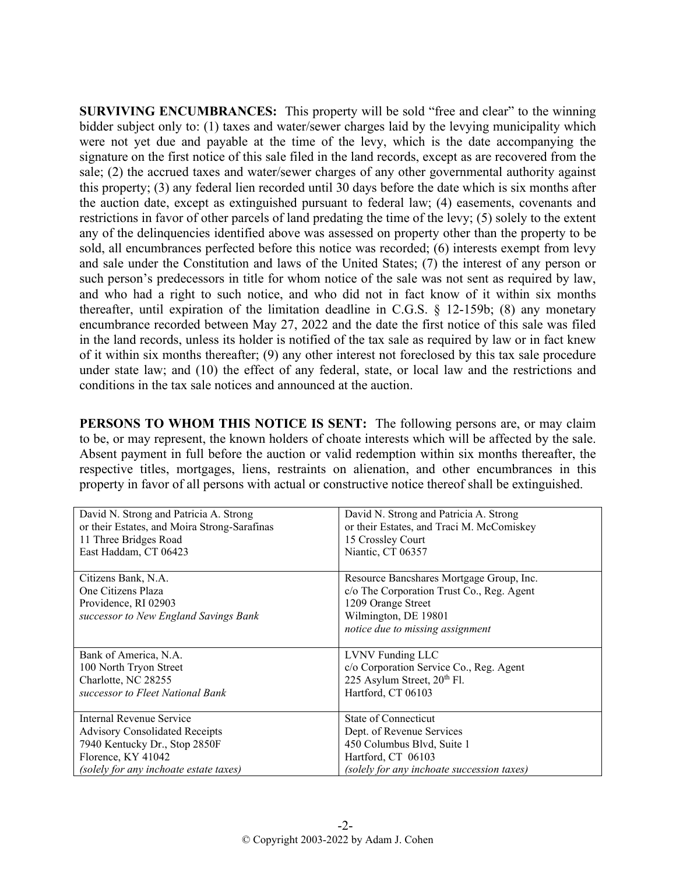**SURVIVING ENCUMBRANCES:** This property will be sold "free and clear" to the winning bidder subject only to: (1) taxes and water/sewer charges laid by the levying municipality which were not yet due and payable at the time of the levy, which is the date accompanying the signature on the first notice of this sale filed in the land records, except as are recovered from the sale; (2) the accrued taxes and water/sewer charges of any other governmental authority against this property; (3) any federal lien recorded until 30 days before the date which is six months after the auction date, except as extinguished pursuant to federal law; (4) easements, covenants and restrictions in favor of other parcels of land predating the time of the levy; (5) solely to the extent any of the delinquencies identified above was assessed on property other than the property to be sold, all encumbrances perfected before this notice was recorded; (6) interests exempt from levy and sale under the Constitution and laws of the United States; (7) the interest of any person or such person's predecessors in title for whom notice of the sale was not sent as required by law, and who had a right to such notice, and who did not in fact know of it within six months thereafter, until expiration of the limitation deadline in C.G.S. § 12-159b; (8) any monetary encumbrance recorded between May 27, 2022 and the date the first notice of this sale was filed in the land records, unless its holder is notified of the tax sale as required by law or in fact knew of it within six months thereafter; (9) any other interest not foreclosed by this tax sale procedure under state law; and (10) the effect of any federal, state, or local law and the restrictions and conditions in the tax sale notices and announced at the auction.

**PERSONS TO WHOM THIS NOTICE IS SENT:** The following persons are, or may claim to be, or may represent, the known holders of choate interests which will be affected by the sale. Absent payment in full before the auction or valid redemption within six months thereafter, the respective titles, mortgages, liens, restraints on alienation, and other encumbrances in this property in favor of all persons with actual or constructive notice thereof shall be extinguished.

| David N. Strong and Patricia A. Strong                                                                     | David N. Strong and Patricia A. Strong                                                                                                                                  |
|------------------------------------------------------------------------------------------------------------|-------------------------------------------------------------------------------------------------------------------------------------------------------------------------|
| or their Estates, and Moira Strong-Sarafinas                                                               | or their Estates, and Traci M. McComiskey                                                                                                                               |
| 11 Three Bridges Road                                                                                      | 15 Crossley Court                                                                                                                                                       |
| East Haddam, CT 06423                                                                                      | Niantic, CT 06357                                                                                                                                                       |
| Citizens Bank, N.A.<br>One Citizens Plaza<br>Providence, RI 02903<br>successor to New England Savings Bank | Resource Bancshares Mortgage Group, Inc.<br>c/o The Corporation Trust Co., Reg. Agent<br>1209 Orange Street<br>Wilmington, DE 19801<br>notice due to missing assignment |
| Bank of America, N.A.                                                                                      | LVNV Funding LLC                                                                                                                                                        |
| 100 North Tryon Street                                                                                     | c/o Corporation Service Co., Reg. Agent                                                                                                                                 |
| Charlotte, NC 28255                                                                                        | 225 Asylum Street, 20th Fl.                                                                                                                                             |
| successor to Fleet National Bank                                                                           | Hartford, CT 06103                                                                                                                                                      |
| Internal Revenue Service                                                                                   | State of Connecticut                                                                                                                                                    |
| <b>Advisory Consolidated Receipts</b>                                                                      | Dept. of Revenue Services                                                                                                                                               |
| 7940 Kentucky Dr., Stop 2850F                                                                              | 450 Columbus Blvd, Suite 1                                                                                                                                              |
| Florence, KY 41042                                                                                         | Hartford, CT 06103                                                                                                                                                      |
| (solely for any inchoate estate taxes)                                                                     | (solely for any inchoate succession taxes)                                                                                                                              |